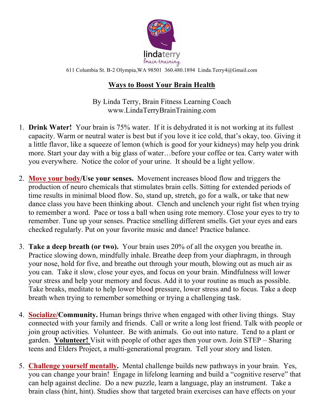

611 Columbia St. B-2 Olympia,WA 98501 360.480.1894 Linda.Terry4@Gmail.com

## **Ways to Boost Your Brain Health**

By Linda Terry, Brain Fitness Learning Coach www.LindaTerryBrainTraining.com

- 1. **Drink Water!** Your brain is 75% water. If it is dehydrated it is not working at its fullest capacity. Warm or neutral water is best but if you love it ice cold, that's okay, too. Giving it a little flavor, like a squeeze of lemon (which is good for your kidneys) may help you drink more. Start your day with a big glass of water…before your coffee or tea. Carry water with you everywhere. Notice the color of your urine. It should be a light yellow.
- 2. **Move your body/Use your senses.** Movement increases blood flow and triggers the production of neuro chemicals that stimulates brain cells. Sitting for extended periods of time results in minimal blood flow. So, stand up, stretch, go for a walk, or take that new dance class you have been thinking about. Clench and unclench your right fist when trying to remember a word. Pace or toss a ball when using rote memory. Close your eyes to try to remember. Tune up your senses. Practice smelling different smells. Get your eyes and ears checked regularly. Put on your favorite music and dance! Practice balance.
- 3. **Take a deep breath (or two).** Your brain uses 20% of all the oxygen you breathe in. Practice slowing down, mindfully inhale. Breathe deep from your diaphragm, in through your nose, hold for five, and breathe out through your mouth, blowing out as much air as you can. Take it slow, close your eyes, and focus on your brain. Mindfulness will lower your stress and help your memory and focus. Add it to your routine as much as possible. Take breaks, meditate to help lower blood pressure, lower stress and to focus. Take a deep breath when trying to remember something or trying a challenging task.
- 4. **Socialize/Community.** Human brings thrive when engaged with other living things.Stay connected with your family and friends. Call or write a long lost friend. Talk with people or join group activities. Volunteer. Be with animals. Go out into nature. Tend to a plant or garden. **Volunteer!** Visit with people of other ages then your own. Join STEP – Sharing teens and Elders Project, a multi-generational program. Tell your story and listen.
- 5. **Challenge yourself mentally.** Mental challenge builds new pathways in your brain. Yes, you can change your brain! Engage in lifelong learning and build a "cognitive reserve" that can help against decline. Do a new puzzle, learn a language, play an instrument. Take a brain class (hint, hint). Studies show that targeted brain exercises can have effects on your